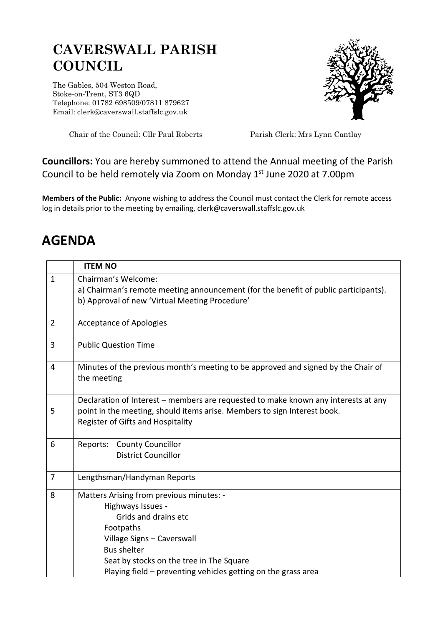## **CAVERSWALL PARISH COUNCIL**

The Gables, 504 Weston Road, Stoke-on-Trent, ST3 6QD Telephone: 01782 698509/07811 879627 Email: clerk@caverswall.staffslc.gov.uk



Chair of the Council: Cllr Paul Roberts Parish Clerk: Mrs Lynn Cantlay

## **Councillors:** You are hereby summoned to attend the Annual meeting of the Parish Council to be held remotely via Zoom on Monday 1<sup>st</sup> June 2020 at 7.00pm

**Members of the Public:** Anyone wishing to address the Council must contact the Clerk for remote access log in details prior to the meeting by emailing, clerk@caverswall.staffslc.gov.uk

## **AGENDA**

|                | <b>ITEM NO</b>                                                                                                                                                                                      |
|----------------|-----------------------------------------------------------------------------------------------------------------------------------------------------------------------------------------------------|
| $\mathbf{1}$   | Chairman's Welcome:                                                                                                                                                                                 |
|                | a) Chairman's remote meeting announcement (for the benefit of public participants).                                                                                                                 |
|                | b) Approval of new 'Virtual Meeting Procedure'                                                                                                                                                      |
|                |                                                                                                                                                                                                     |
| $\overline{2}$ | <b>Acceptance of Apologies</b>                                                                                                                                                                      |
| 3              | <b>Public Question Time</b>                                                                                                                                                                         |
| 4              | Minutes of the previous month's meeting to be approved and signed by the Chair of<br>the meeting                                                                                                    |
| 5              | Declaration of Interest – members are requested to make known any interests at any<br>point in the meeting, should items arise. Members to sign Interest book.<br>Register of Gifts and Hospitality |
| 6              | Reports:<br><b>County Councillor</b>                                                                                                                                                                |
|                | <b>District Councillor</b>                                                                                                                                                                          |
| 7              | Lengthsman/Handyman Reports                                                                                                                                                                         |
| 8              | Matters Arising from previous minutes: -                                                                                                                                                            |
|                | Highways Issues -                                                                                                                                                                                   |
|                | Grids and drains etc                                                                                                                                                                                |
|                | Footpaths                                                                                                                                                                                           |
|                | Village Signs - Caverswall                                                                                                                                                                          |
|                | <b>Bus shelter</b>                                                                                                                                                                                  |
|                | Seat by stocks on the tree in The Square                                                                                                                                                            |
|                | Playing field - preventing vehicles getting on the grass area                                                                                                                                       |